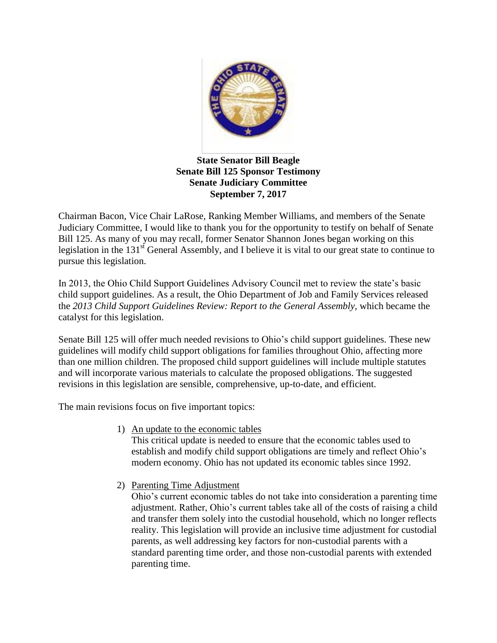

## **State Senator Bill Beagle Senate Bill 125 Sponsor Testimony Senate Judiciary Committee September 7, 2017**

Chairman Bacon, Vice Chair LaRose, Ranking Member Williams, and members of the Senate Judiciary Committee, I would like to thank you for the opportunity to testify on behalf of Senate Bill 125. As many of you may recall, former Senator Shannon Jones began working on this legislation in the 131<sup>st</sup> General Assembly, and I believe it is vital to our great state to continue to pursue this legislation.

In 2013, the Ohio Child Support Guidelines Advisory Council met to review the state's basic child support guidelines. As a result, the Ohio Department of Job and Family Services released the *2013 Child Support Guidelines Review: Report to the General Assembly,* which became the catalyst for this legislation.

Senate Bill 125 will offer much needed revisions to Ohio's child support guidelines. These new guidelines will modify child support obligations for families throughout Ohio, affecting more than one million children. The proposed child support guidelines will include multiple statutes and will incorporate various materials to calculate the proposed obligations. The suggested revisions in this legislation are sensible, comprehensive, up-to-date, and efficient.

The main revisions focus on five important topics:

1) An update to the economic tables

This critical update is needed to ensure that the economic tables used to establish and modify child support obligations are timely and reflect Ohio's modern economy. Ohio has not updated its economic tables since 1992.

2) Parenting Time Adjustment

Ohio's current economic tables do not take into consideration a parenting time adjustment. Rather, Ohio's current tables take all of the costs of raising a child and transfer them solely into the custodial household, which no longer reflects reality. This legislation will provide an inclusive time adjustment for custodial parents, as well addressing key factors for non-custodial parents with a standard parenting time order, and those non-custodial parents with extended parenting time.